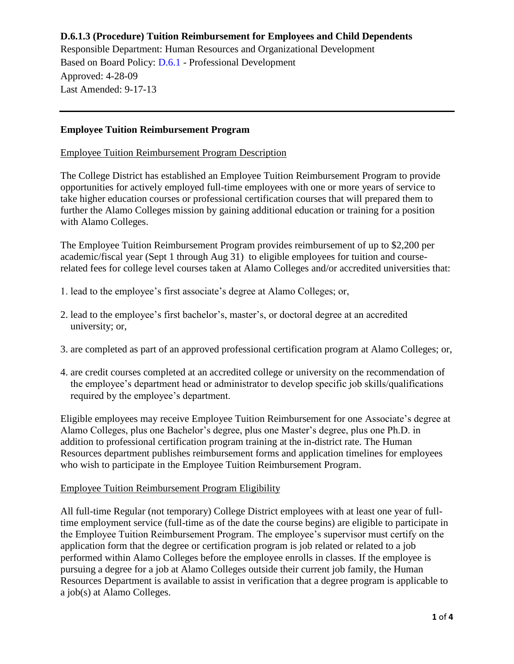Responsible Department: Human Resources and Organizational Development Based on Board Policy: [D.6.1](https://www.alamo.edu/siteassets/district/about-us/leadership/board-of-trustees/policies-pdfs/section-d/d.6.1-policy.pdf) - Professional Development Approved: 4-28-09 Last Amended: 9-17-13

## **Employee Tuition Reimbursement Program**

Employee Tuition Reimbursement Program Description

The College District has established an Employee Tuition Reimbursement Program to provide opportunities for actively employed full-time employees with one or more years of service to take higher education courses or professional certification courses that will prepared them to further the Alamo Colleges mission by gaining additional education or training for a position with Alamo Colleges.

The Employee Tuition Reimbursement Program provides reimbursement of up to \$2,200 per academic/fiscal year (Sept 1 through Aug 31) to eligible employees for tuition and courserelated fees for college level courses taken at Alamo Colleges and/or accredited universities that:

- 1. lead to the employee's first associate's degree at Alamo Colleges; or,
- 2. lead to the employee's first bachelor's, master's, or doctoral degree at an accredited university; or,
- 3. are completed as part of an approved professional certification program at Alamo Colleges; or,
- 4. are credit courses completed at an accredited college or university on the recommendation of the employee's department head or administrator to develop specific job skills/qualifications required by the employee's department.

Eligible employees may receive Employee Tuition Reimbursement for one Associate's degree at Alamo Colleges, plus one Bachelor's degree, plus one Master's degree, plus one Ph.D. in addition to professional certification program training at the in-district rate. The Human Resources department publishes reimbursement forms and application timelines for employees who wish to participate in the Employee Tuition Reimbursement Program.

#### Employee Tuition Reimbursement Program Eligibility

All full-time Regular (not temporary) College District employees with at least one year of fulltime employment service (full-time as of the date the course begins) are eligible to participate in the Employee Tuition Reimbursement Program. The employee's supervisor must certify on the application form that the degree or certification program is job related or related to a job performed within Alamo Colleges before the employee enrolls in classes. If the employee is pursuing a degree for a job at Alamo Colleges outside their current job family, the Human Resources Department is available to assist in verification that a degree program is applicable to a job(s) at Alamo Colleges.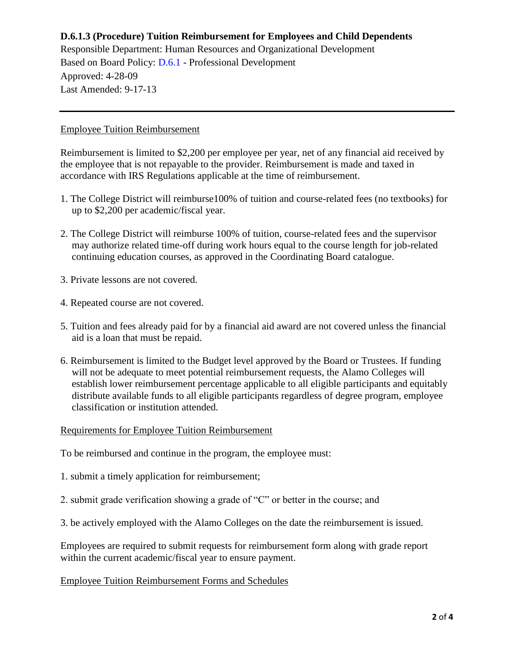Responsible Department: Human Resources and Organizational Development Based on Board Policy: [D.6.1](https://www.alamo.edu/siteassets/district/about-us/leadership/board-of-trustees/policies-pdfs/section-d/d.6.1-policy.pdf) - Professional Development Approved: 4-28-09 Last Amended: 9-17-13

## Employee Tuition Reimbursement

Reimbursement is limited to \$2,200 per employee per year, net of any financial aid received by the employee that is not repayable to the provider. Reimbursement is made and taxed in accordance with IRS Regulations applicable at the time of reimbursement.

- 1. The College District will reimburse100% of tuition and course-related fees (no textbooks) for up to \$2,200 per academic/fiscal year.
- 2. The College District will reimburse 100% of tuition, course-related fees and the supervisor may authorize related time-off during work hours equal to the course length for job-related continuing education courses, as approved in the Coordinating Board catalogue.
- 3. Private lessons are not covered.
- 4. Repeated course are not covered.
- 5. Tuition and fees already paid for by a financial aid award are not covered unless the financial aid is a loan that must be repaid.
- 6. Reimbursement is limited to the Budget level approved by the Board or Trustees. If funding will not be adequate to meet potential reimbursement requests, the Alamo Colleges will establish lower reimbursement percentage applicable to all eligible participants and equitably distribute available funds to all eligible participants regardless of degree program, employee classification or institution attended.

#### Requirements for Employee Tuition Reimbursement

To be reimbursed and continue in the program, the employee must:

- 1. submit a timely application for reimbursement;
- 2. submit grade verification showing a grade of "C" or better in the course; and
- 3. be actively employed with the Alamo Colleges on the date the reimbursement is issued.

Employees are required to submit requests for reimbursement form along with grade report within the current academic/fiscal year to ensure payment.

## Employee Tuition Reimbursement Forms and Schedules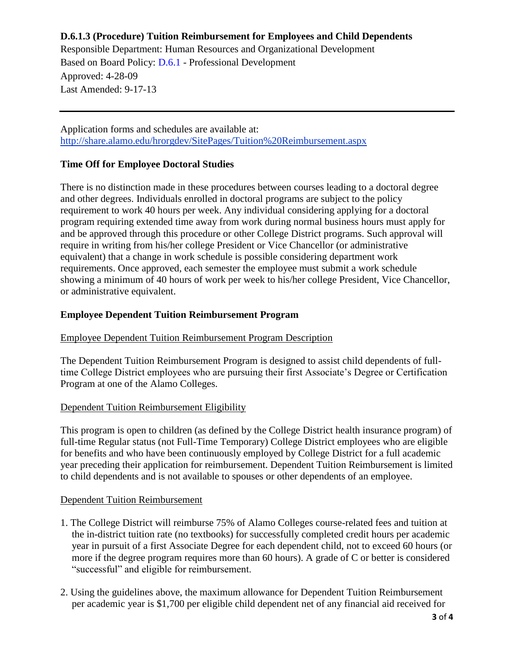Responsible Department: Human Resources and Organizational Development Based on Board Policy: [D.6.1](https://www.alamo.edu/siteassets/district/about-us/leadership/board-of-trustees/policies-pdfs/section-d/d.6.1-policy.pdf) - Professional Development Approved: 4-28-09 Last Amended: 9-17-13

Application forms and schedules are available at: <http://share.alamo.edu/hrorgdev/SitePages/Tuition%20Reimbursement.aspx>

## **Time Off for Employee Doctoral Studies**

There is no distinction made in these procedures between courses leading to a doctoral degree and other degrees. Individuals enrolled in doctoral programs are subject to the policy requirement to work 40 hours per week. Any individual considering applying for a doctoral program requiring extended time away from work during normal business hours must apply for and be approved through this procedure or other College District programs. Such approval will require in writing from his/her college President or Vice Chancellor (or administrative equivalent) that a change in work schedule is possible considering department work requirements. Once approved, each semester the employee must submit a work schedule showing a minimum of 40 hours of work per week to his/her college President, Vice Chancellor, or administrative equivalent.

## **Employee Dependent Tuition Reimbursement Program**

## Employee Dependent Tuition Reimbursement Program Description

The Dependent Tuition Reimbursement Program is designed to assist child dependents of fulltime College District employees who are pursuing their first Associate's Degree or Certification Program at one of the Alamo Colleges.

#### Dependent Tuition Reimbursement Eligibility

This program is open to children (as defined by the College District health insurance program) of full-time Regular status (not Full-Time Temporary) College District employees who are eligible for benefits and who have been continuously employed by College District for a full academic year preceding their application for reimbursement. Dependent Tuition Reimbursement is limited to child dependents and is not available to spouses or other dependents of an employee.

#### Dependent Tuition Reimbursement

- 1. The College District will reimburse 75% of Alamo Colleges course-related fees and tuition at the in-district tuition rate (no textbooks) for successfully completed credit hours per academic year in pursuit of a first Associate Degree for each dependent child, not to exceed 60 hours (or more if the degree program requires more than 60 hours). A grade of C or better is considered "successful" and eligible for reimbursement.
- 2. Using the guidelines above, the maximum allowance for Dependent Tuition Reimbursement per academic year is \$1,700 per eligible child dependent net of any financial aid received for